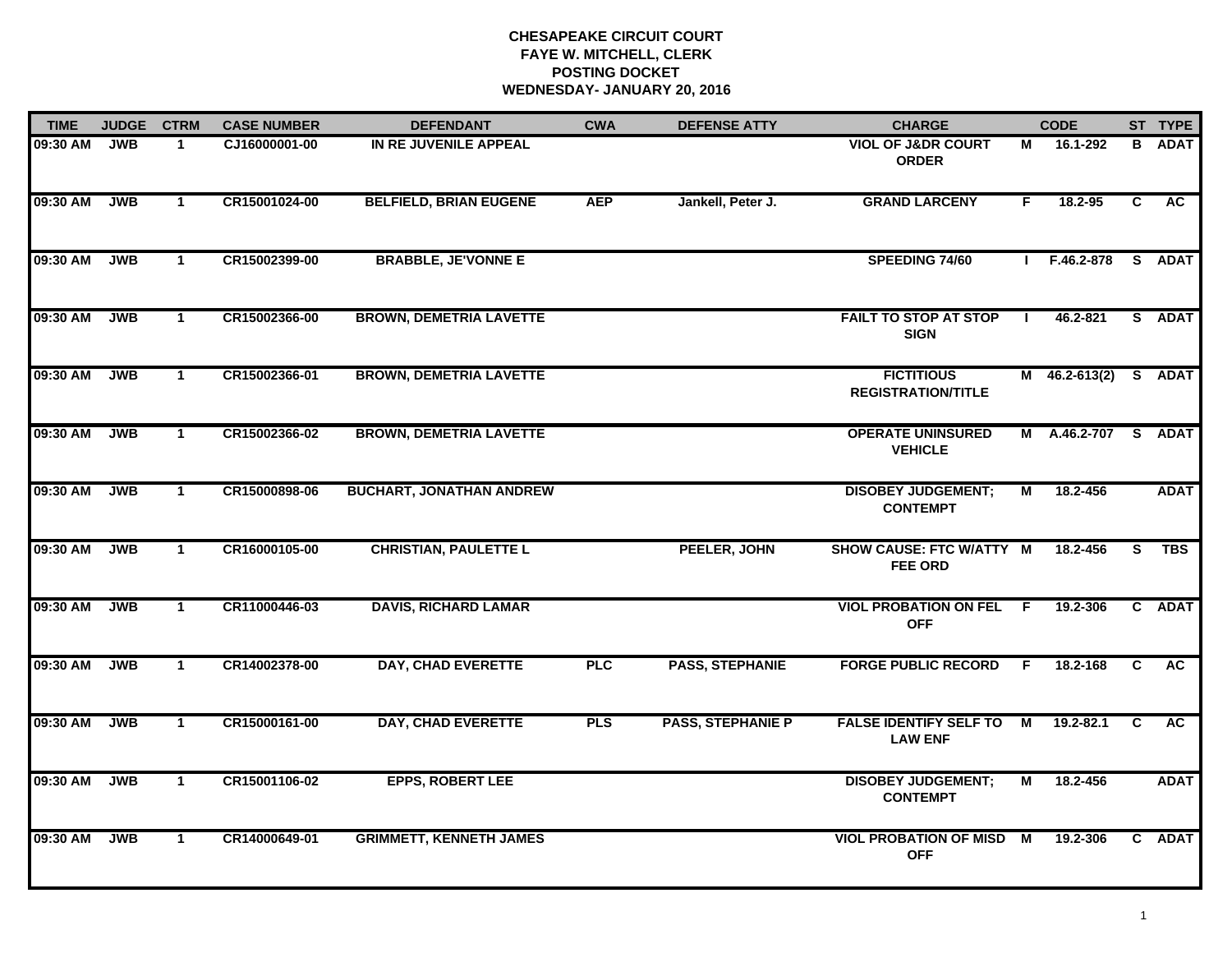# **CHESAPEAKE CIRCUIT COURT FAYE W. MITCHELL, CLERK POSTING DOCKETWEDNESDAY- JANUARY 20, 2016**

| <b>TIME</b> | <b>JUDGE</b> | <b>CTRM</b>  | <b>CASE NUMBER</b> | <b>DEFENDANT</b>                | <b>CWA</b> | <b>DEFENSE ATTY</b>      | <b>CHARGE</b>                                   |     | <b>CODE</b>     |                | ST TYPE     |
|-------------|--------------|--------------|--------------------|---------------------------------|------------|--------------------------|-------------------------------------------------|-----|-----------------|----------------|-------------|
| 09:30 AM    | <b>JWB</b>   | $\mathbf 1$  | CJ16000001-00      | IN RE JUVENILE APPEAL           |            |                          | <b>VIOL OF J&amp;DR COURT</b><br><b>ORDER</b>   | м   | 16.1-292        | B              | <b>ADAT</b> |
| 09:30 AM    | <b>JWB</b>   | $\mathbf{1}$ | CR15001024-00      | <b>BELFIELD, BRIAN EUGENE</b>   | <b>AEP</b> | Jankell, Peter J.        | <b>GRAND LARCENY</b>                            | F.  | 18.2-95         | $\overline{c}$ | <b>AC</b>   |
| 09:30 AM    | <b>JWB</b>   | $\mathbf{1}$ | CR15002399-00      | <b>BRABBLE, JE'VONNE E</b>      |            |                          | SPEEDING 74/60                                  |     | F.46.2-878      |                | S ADAT      |
| 09:30 AM    | <b>JWB</b>   | $\mathbf{1}$ | CR15002366-00      | <b>BROWN, DEMETRIA LAVETTE</b>  |            |                          | <b>FAILT TO STOP AT STOP</b><br><b>SIGN</b>     |     | 46.2-821        |                | S ADAT      |
| 09:30 AM    | <b>JWB</b>   | $\mathbf{1}$ | CR15002366-01      | <b>BROWN, DEMETRIA LAVETTE</b>  |            |                          | <b>FICTITIOUS</b><br><b>REGISTRATION/TITLE</b>  |     | $M$ 46.2-613(2) |                | S ADAT      |
| 09:30 AM    | <b>JWB</b>   | $\mathbf{1}$ | CR15002366-02      | <b>BROWN, DEMETRIA LAVETTE</b>  |            |                          | <b>OPERATE UNINSURED</b><br><b>VEHICLE</b>      |     | M A.46.2-707 S  |                | <b>ADAT</b> |
| 09:30 AM    | <b>JWB</b>   | $\mathbf{1}$ | CR15000898-06      | <b>BUCHART, JONATHAN ANDREW</b> |            |                          | <b>DISOBEY JUDGEMENT;</b><br><b>CONTEMPT</b>    | М   | 18.2-456        |                | <b>ADAT</b> |
| 09:30 AM    | <b>JWB</b>   | $\mathbf{1}$ | CR16000105-00      | <b>CHRISTIAN, PAULETTE L</b>    |            | PEELER, JOHN             | SHOW CAUSE: FTC W/ATTY M<br><b>FEE ORD</b>      |     | 18.2-456        | S.             | <b>TBS</b>  |
| 09:30 AM    | <b>JWB</b>   | $\mathbf 1$  | CR11000446-03      | <b>DAVIS, RICHARD LAMAR</b>     |            |                          | <b>VIOL PROBATION ON FEL</b><br><b>OFF</b>      | - F | 19.2-306        |                | C ADAT      |
| 09:30 AM    | <b>JWB</b>   | $\mathbf{1}$ | CR14002378-00      | <b>DAY, CHAD EVERETTE</b>       | <b>PLC</b> | <b>PASS, STEPHANIE</b>   | <b>FORGE PUBLIC RECORD</b>                      | F.  | 18.2-168        | C              | <b>AC</b>   |
| 09:30 AM    | <b>JWB</b>   | $\mathbf{1}$ | CR15000161-00      | <b>DAY, CHAD EVERETTE</b>       | <b>PLS</b> | <b>PASS, STEPHANIE P</b> | <b>FALSE IDENTIFY SELF TO</b><br><b>LAW ENF</b> | M   | 19.2-82.1       | C              | <b>AC</b>   |
| 09:30 AM    | <b>JWB</b>   | $\mathbf{1}$ | CR15001106-02      | <b>EPPS, ROBERT LEE</b>         |            |                          | <b>DISOBEY JUDGEMENT;</b><br><b>CONTEMPT</b>    | М   | 18.2-456        |                | <b>ADAT</b> |
| 09:30 AM    | <b>JWB</b>   | $\mathbf{1}$ | CR14000649-01      | <b>GRIMMETT, KENNETH JAMES</b>  |            |                          | <b>VIOL PROBATION OF MISD M</b><br><b>OFF</b>   |     | 19.2-306        |                | C ADAT      |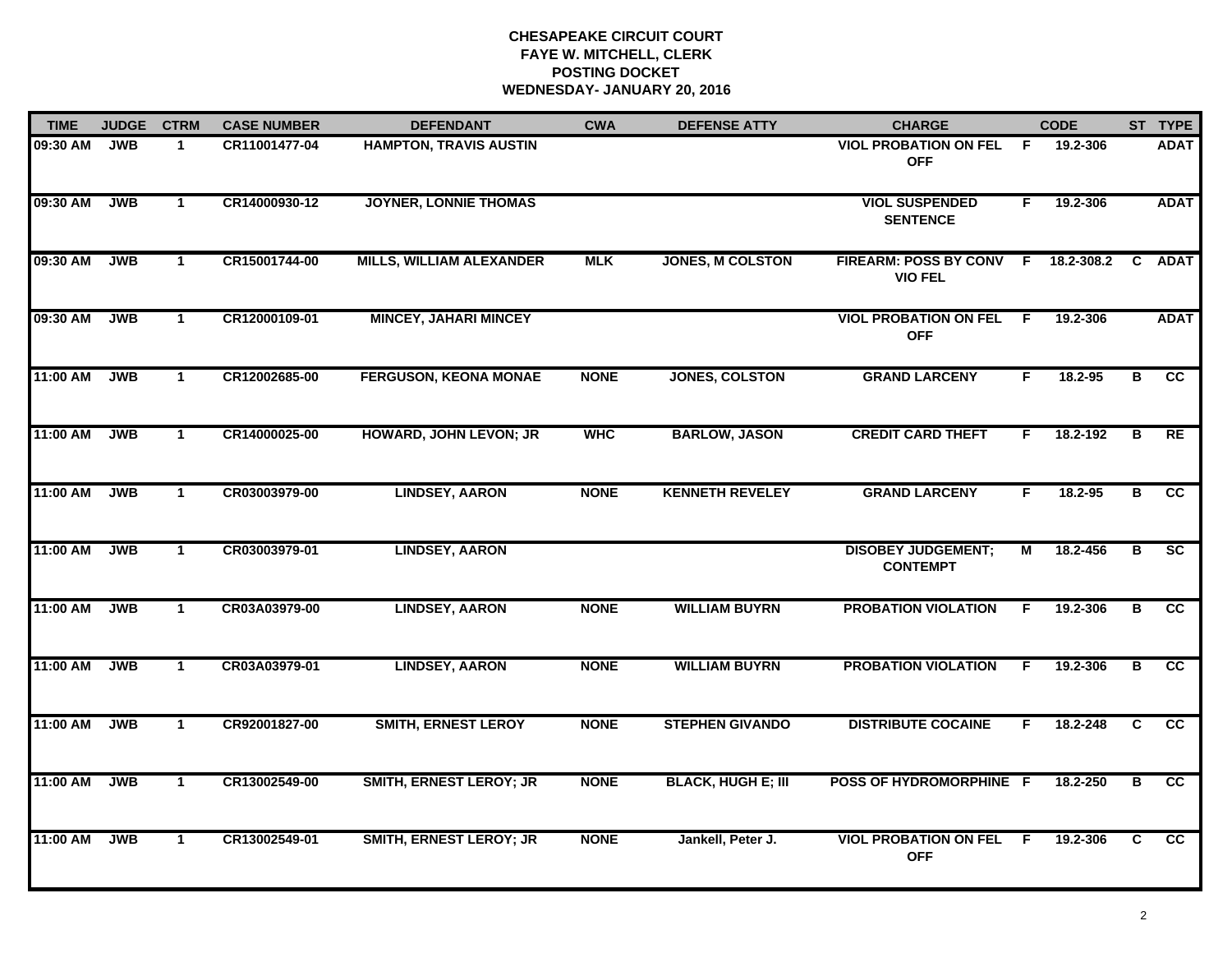# **CHESAPEAKE CIRCUIT COURT FAYE W. MITCHELL, CLERK POSTING DOCKETWEDNESDAY- JANUARY 20, 2016**

| <b>TIME</b> | <b>JUDGE</b> | <b>CTRM</b>  | <b>CASE NUMBER</b> | <b>DEFENDANT</b>                | <b>CWA</b>  | <b>DEFENSE ATTY</b>       | <b>CHARGE</b>                                |     | <b>CODE</b> |                         | ST TYPE         |
|-------------|--------------|--------------|--------------------|---------------------------------|-------------|---------------------------|----------------------------------------------|-----|-------------|-------------------------|-----------------|
| 09:30 AM    | <b>JWB</b>   | $\mathbf 1$  | CR11001477-04      | <b>HAMPTON, TRAVIS AUSTIN</b>   |             |                           | <b>VIOL PROBATION ON FEL</b><br><b>OFF</b>   | F.  | 19.2-306    |                         | <b>ADAT</b>     |
| 09:30 AM    | <b>JWB</b>   | $\mathbf{1}$ | CR14000930-12      | <b>JOYNER, LONNIE THOMAS</b>    |             |                           | <b>VIOL SUSPENDED</b><br><b>SENTENCE</b>     | F.  | 19.2-306    |                         | <b>ADAT</b>     |
| 09:30 AM    | <b>JWB</b>   | $\mathbf{1}$ | CR15001744-00      | <b>MILLS, WILLIAM ALEXANDER</b> | <b>MLK</b>  | <b>JONES, M COLSTON</b>   | FIREARM: POSS BY CONV F<br><b>VIO FEL</b>    |     | 18.2-308.2  | C.                      | <b>ADAT</b>     |
| 09:30 AM    | <b>JWB</b>   | $\mathbf 1$  | CR12000109-01      | <b>MINCEY, JAHARI MINCEY</b>    |             |                           | <b>VIOL PROBATION ON FEL</b><br><b>OFF</b>   | -F  | 19.2-306    |                         | <b>ADAT</b>     |
| 11:00 AM    | <b>JWB</b>   | $\mathbf 1$  | CR12002685-00      | <b>FERGUSON, KEONA MONAE</b>    | <b>NONE</b> | <b>JONES, COLSTON</b>     | <b>GRAND LARCENY</b>                         | F.  | 18.2-95     | B                       | cc              |
| 11:00 AM    | <b>JWB</b>   | $\mathbf{1}$ | CR14000025-00      | <b>HOWARD, JOHN LEVON; JR</b>   | <b>WHC</b>  | <b>BARLOW, JASON</b>      | <b>CREDIT CARD THEFT</b>                     | F.  | 18.2-192    | в                       | <b>RE</b>       |
| 11:00 AM    | <b>JWB</b>   | $\mathbf{1}$ | CR03003979-00      | <b>LINDSEY, AARON</b>           | <b>NONE</b> | <b>KENNETH REVELEY</b>    | <b>GRAND LARCENY</b>                         | F   | 18.2-95     | $\overline{B}$          | $\overline{cc}$ |
| 11:00 AM    | <b>JWB</b>   | $\mathbf{1}$ | CR03003979-01      | <b>LINDSEY, AARON</b>           |             |                           | <b>DISOBEY JUDGEMENT;</b><br><b>CONTEMPT</b> | М   | 18.2-456    | в                       | SC              |
| 11:00 AM    | <b>JWB</b>   | $\mathbf{1}$ | CR03A03979-00      | <b>LINDSEY, AARON</b>           | <b>NONE</b> | <b>WILLIAM BUYRN</b>      | <b>PROBATION VIOLATION</b>                   | F   | 19.2-306    | в                       | cc              |
| 11:00 AM    | <b>JWB</b>   | $\mathbf{1}$ | CR03A03979-01      | <b>LINDSEY, AARON</b>           | <b>NONE</b> | <b>WILLIAM BUYRN</b>      | <b>PROBATION VIOLATION</b>                   | F.  | 19.2-306    | в                       | cc              |
| 11:00 AM    | <b>JWB</b>   | $\mathbf 1$  | CR92001827-00      | <b>SMITH, ERNEST LEROY</b>      | <b>NONE</b> | <b>STEPHEN GIVANDO</b>    | <b>DISTRIBUTE COCAINE</b>                    | F.  | 18.2-248    | C.                      | CC              |
| 11:00 AM    | <b>JWB</b>   | $\mathbf 1$  | CR13002549-00      | <b>SMITH, ERNEST LEROY; JR</b>  | <b>NONE</b> | <b>BLACK, HUGH E; III</b> | POSS OF HYDROMORPHINE F                      |     | 18.2-250    | $\overline{\mathbf{B}}$ | $\overline{cc}$ |
| 11:00 AM    | <b>JWB</b>   | $\mathbf{1}$ | CR13002549-01      | <b>SMITH, ERNEST LEROY; JR</b>  | <b>NONE</b> | Jankell, Peter J.         | <b>VIOL PROBATION ON FEL</b><br><b>OFF</b>   | -F. | 19.2-306    | C.                      | $\overline{cc}$ |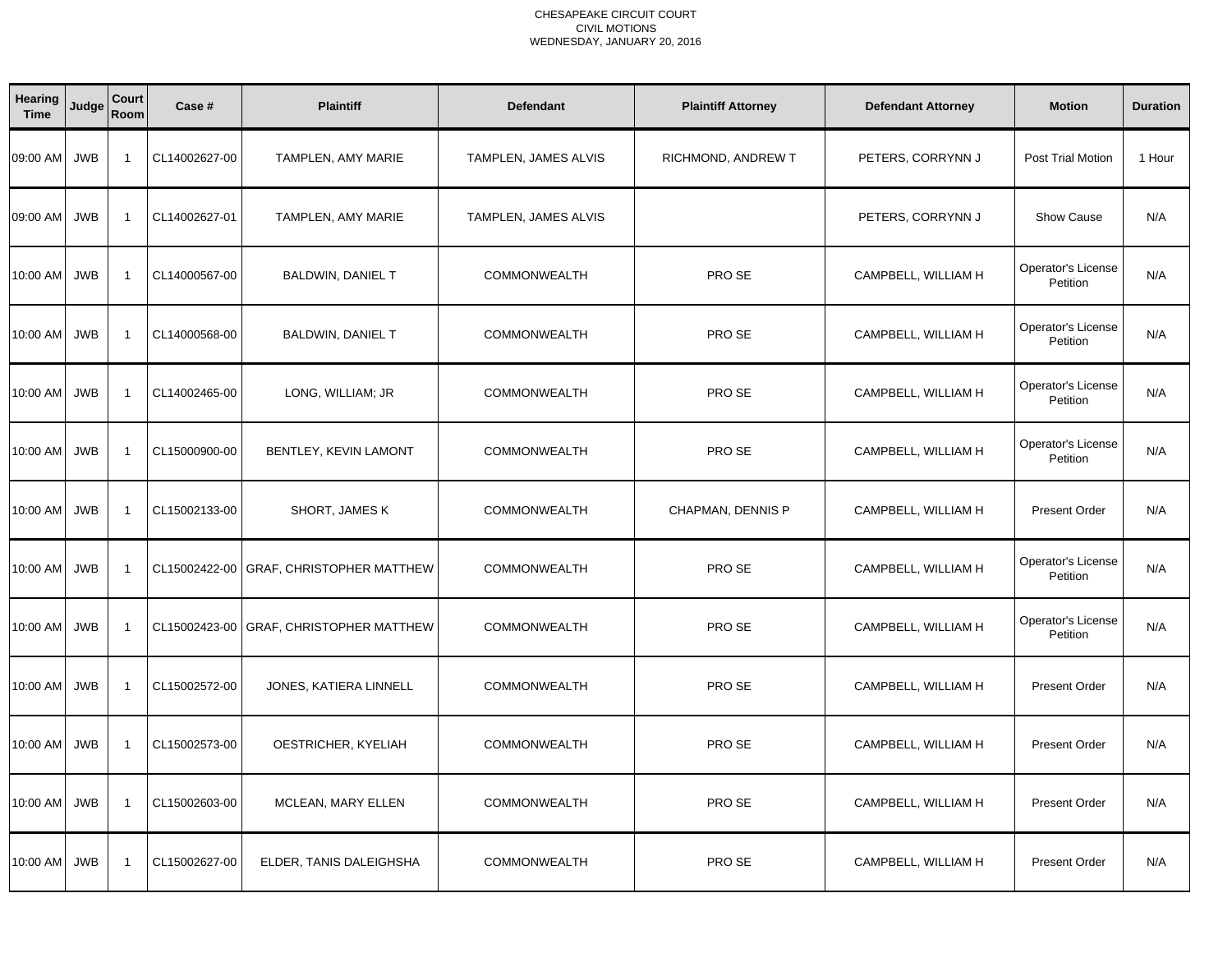| <b>Hearing</b><br><b>Time</b> | Judge      | Court<br>Room  | Case #        | <b>Plaintiff</b>                 | <b>Defendant</b>     | <b>Plaintiff Attorney</b> | <b>Defendant Attorney</b> | <b>Motion</b>                         | <b>Duration</b> |
|-------------------------------|------------|----------------|---------------|----------------------------------|----------------------|---------------------------|---------------------------|---------------------------------------|-----------------|
| 09:00 AM                      | <b>JWB</b> | $\overline{1}$ | CL14002627-00 | TAMPLEN, AMY MARIE               | TAMPLEN, JAMES ALVIS | RICHMOND, ANDREW T        | PETERS, CORRYNN J         | Post Trial Motion                     | 1 Hour          |
| 09:00 AM                      | <b>JWB</b> | $\overline{1}$ | CL14002627-01 | TAMPLEN, AMY MARIE               | TAMPLEN, JAMES ALVIS |                           | PETERS, CORRYNN J         | <b>Show Cause</b>                     | N/A             |
| 10:00 AM                      | <b>JWB</b> | $\overline{1}$ | CL14000567-00 | BALDWIN, DANIEL T                | <b>COMMONWEALTH</b>  | PRO SE                    | CAMPBELL, WILLIAM H       | Operator's License<br>Petition        | N/A             |
| 10:00 AM                      | <b>JWB</b> | $\overline{1}$ | CL14000568-00 | BALDWIN, DANIEL T                | <b>COMMONWEALTH</b>  | PRO SE                    | CAMPBELL, WILLIAM H       | Operator's License<br>Petition        | N/A             |
| 10:00 AM                      | JWB        | $\overline{1}$ | CL14002465-00 | LONG, WILLIAM; JR                | <b>COMMONWEALTH</b>  | PRO SE                    | CAMPBELL, WILLIAM H       | Operator's License<br>Petition        | N/A             |
| 10:00 AM                      | <b>JWB</b> | $\overline{1}$ | CL15000900-00 | BENTLEY, KEVIN LAMONT            | <b>COMMONWEALTH</b>  | PRO SE                    | CAMPBELL, WILLIAM H       | Operator's License<br>Petition        | N/A             |
| 10:00 AM                      | <b>JWB</b> | $\overline{1}$ | CL15002133-00 | SHORT, JAMES K                   | <b>COMMONWEALTH</b>  | CHAPMAN, DENNIS P         | CAMPBELL, WILLIAM H       | <b>Present Order</b>                  | N/A             |
| 10:00 AM                      | <b>JWB</b> | $\overline{1}$ | CL15002422-00 | <b>GRAF, CHRISTOPHER MATTHEW</b> | <b>COMMONWEALTH</b>  | PRO SE                    | CAMPBELL, WILLIAM H       | <b>Operator's License</b><br>Petition | N/A             |
| 10:00 AM                      | <b>JWB</b> | $\overline{1}$ | CL15002423-00 | GRAF, CHRISTOPHER MATTHEW        | <b>COMMONWEALTH</b>  | PRO SE                    | CAMPBELL, WILLIAM H       | Operator's License<br>Petition        | N/A             |
| 10:00 AM                      | <b>JWB</b> | $\overline{1}$ | CL15002572-00 | JONES, KATIERA LINNELL           | <b>COMMONWEALTH</b>  | PRO SE                    | CAMPBELL, WILLIAM H       | <b>Present Order</b>                  | N/A             |
| 10:00 AM                      | <b>JWB</b> | $\overline{1}$ | CL15002573-00 | OESTRICHER, KYELIAH              | <b>COMMONWEALTH</b>  | PRO SE                    | CAMPBELL, WILLIAM H       | <b>Present Order</b>                  | N/A             |
| 10:00 AM                      | JWB        | $\overline{1}$ | CL15002603-00 | MCLEAN, MARY ELLEN               | <b>COMMONWEALTH</b>  | PRO SE                    | CAMPBELL, WILLIAM H       | <b>Present Order</b>                  | N/A             |
| 10:00 AM                      | <b>JWB</b> | $\overline{1}$ | CL15002627-00 | ELDER, TANIS DALEIGHSHA          | <b>COMMONWEALTH</b>  | PRO SE                    | CAMPBELL, WILLIAM H       | <b>Present Order</b>                  | N/A             |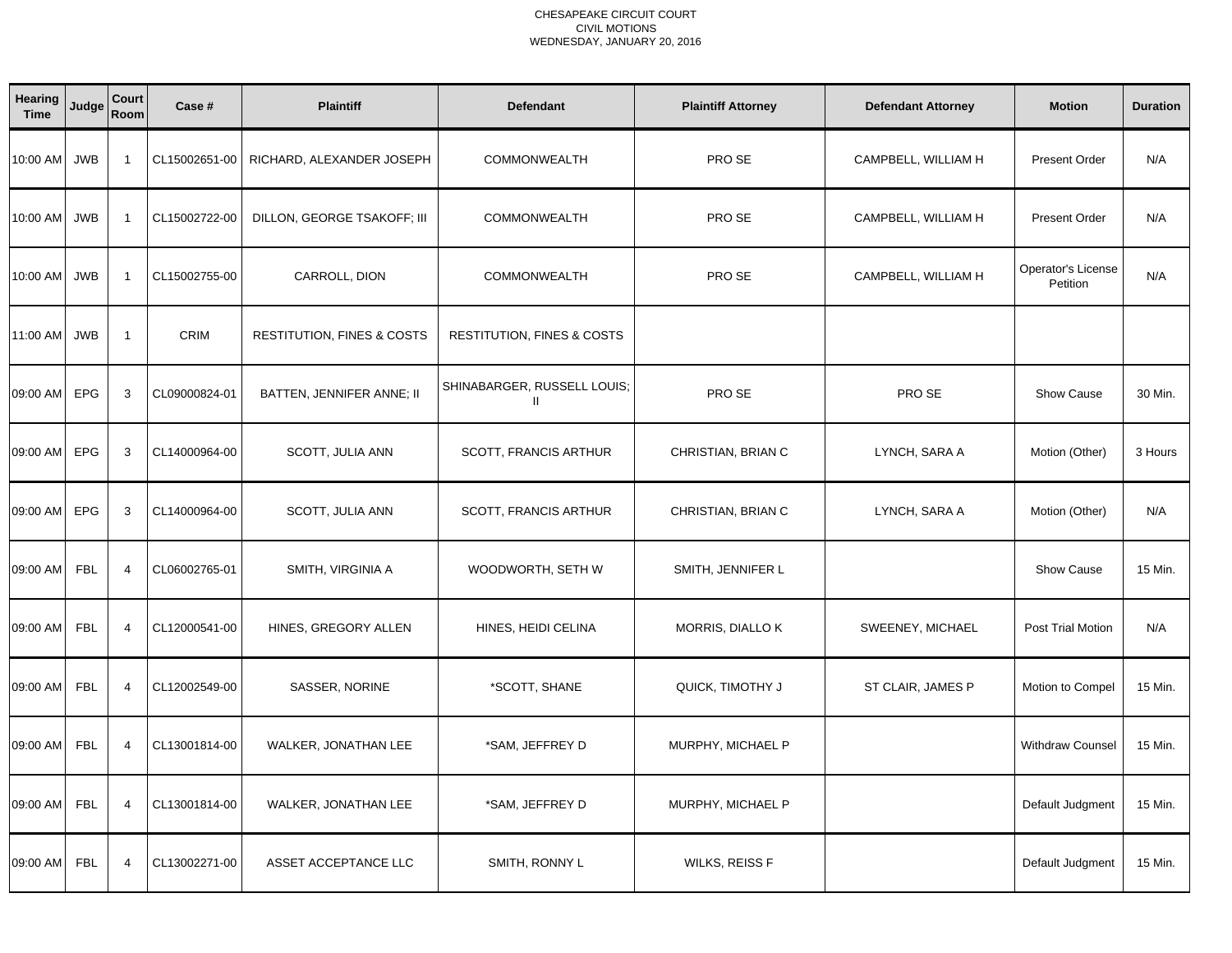| Hearing<br><b>Time</b> | Judge      | Court<br>Room  | Case #        | <b>Plaintiff</b>                      | <b>Defendant</b>                      | <b>Plaintiff Attorney</b> | <b>Defendant Attorney</b> | <b>Motion</b>                  | <b>Duration</b> |
|------------------------|------------|----------------|---------------|---------------------------------------|---------------------------------------|---------------------------|---------------------------|--------------------------------|-----------------|
| 10:00 AM               | <b>JWB</b> | $\overline{1}$ | CL15002651-00 | RICHARD, ALEXANDER JOSEPH             | <b>COMMONWEALTH</b>                   | PRO SE                    | CAMPBELL, WILLIAM H       | <b>Present Order</b>           | N/A             |
| 10:00 AM               | <b>JWB</b> | $\overline{1}$ | CL15002722-00 | DILLON, GEORGE TSAKOFF; III           | <b>COMMONWEALTH</b>                   | PRO SE                    | CAMPBELL, WILLIAM H       | <b>Present Order</b>           | N/A             |
| 10:00 AM               | <b>JWB</b> | $\overline{1}$ | CL15002755-00 | CARROLL, DION                         | <b>COMMONWEALTH</b>                   | PRO SE                    | CAMPBELL, WILLIAM H       | Operator's License<br>Petition | N/A             |
| 11:00 AM               | <b>JWB</b> | $\overline{1}$ | CRIM          | <b>RESTITUTION, FINES &amp; COSTS</b> | <b>RESTITUTION, FINES &amp; COSTS</b> |                           |                           |                                |                 |
| 09:00 AM               | EPG        | 3              | CL09000824-01 | BATTEN, JENNIFER ANNE; II             | SHINABARGER, RUSSELL LOUIS;<br>Ш.     | PRO SE                    | PRO SE                    | Show Cause                     | 30 Min.         |
| 09:00 AM               | <b>EPG</b> | 3              | CL14000964-00 | SCOTT, JULIA ANN                      | SCOTT, FRANCIS ARTHUR                 | CHRISTIAN, BRIAN C        | LYNCH, SARA A             | Motion (Other)                 | 3 Hours         |
| 09:00 AM               | <b>EPG</b> | 3              | CL14000964-00 | SCOTT, JULIA ANN                      | SCOTT, FRANCIS ARTHUR                 | CHRISTIAN, BRIAN C        | LYNCH, SARA A             | Motion (Other)                 | N/A             |
| 09:00 AM               | <b>FBL</b> | $\overline{4}$ | CL06002765-01 | SMITH, VIRGINIA A                     | WOODWORTH, SETH W                     | SMITH, JENNIFER L         |                           | Show Cause                     | 15 Min.         |
| 09:00 AM               | <b>FBL</b> | $\overline{4}$ | CL12000541-00 | HINES, GREGORY ALLEN                  | HINES, HEIDI CELINA                   | MORRIS, DIALLO K          | SWEENEY, MICHAEL          | Post Trial Motion              | N/A             |
| 09:00 AM               | <b>FBL</b> | $\overline{4}$ | CL12002549-00 | SASSER, NORINE                        | *SCOTT, SHANE                         | QUICK, TIMOTHY J          | ST CLAIR, JAMES P         | Motion to Compel               | 15 Min.         |
| 09:00 AM               | <b>FBL</b> | $\overline{4}$ | CL13001814-00 | <b>WALKER, JONATHAN LEE</b>           | *SAM, JEFFREY D                       | MURPHY, MICHAEL P         |                           | <b>Withdraw Counsel</b>        | 15 Min.         |
| 09:00 AM               | <b>FBL</b> | $\overline{4}$ | CL13001814-00 | WALKER, JONATHAN LEE                  | *SAM, JEFFREY D                       | MURPHY, MICHAEL P         |                           | Default Judgment               | 15 Min.         |
| 09:00 AM               | <b>FBL</b> | $\overline{4}$ | CL13002271-00 | ASSET ACCEPTANCE LLC                  | SMITH, RONNY L                        | WILKS, REISS F            |                           | Default Judgment               | 15 Min.         |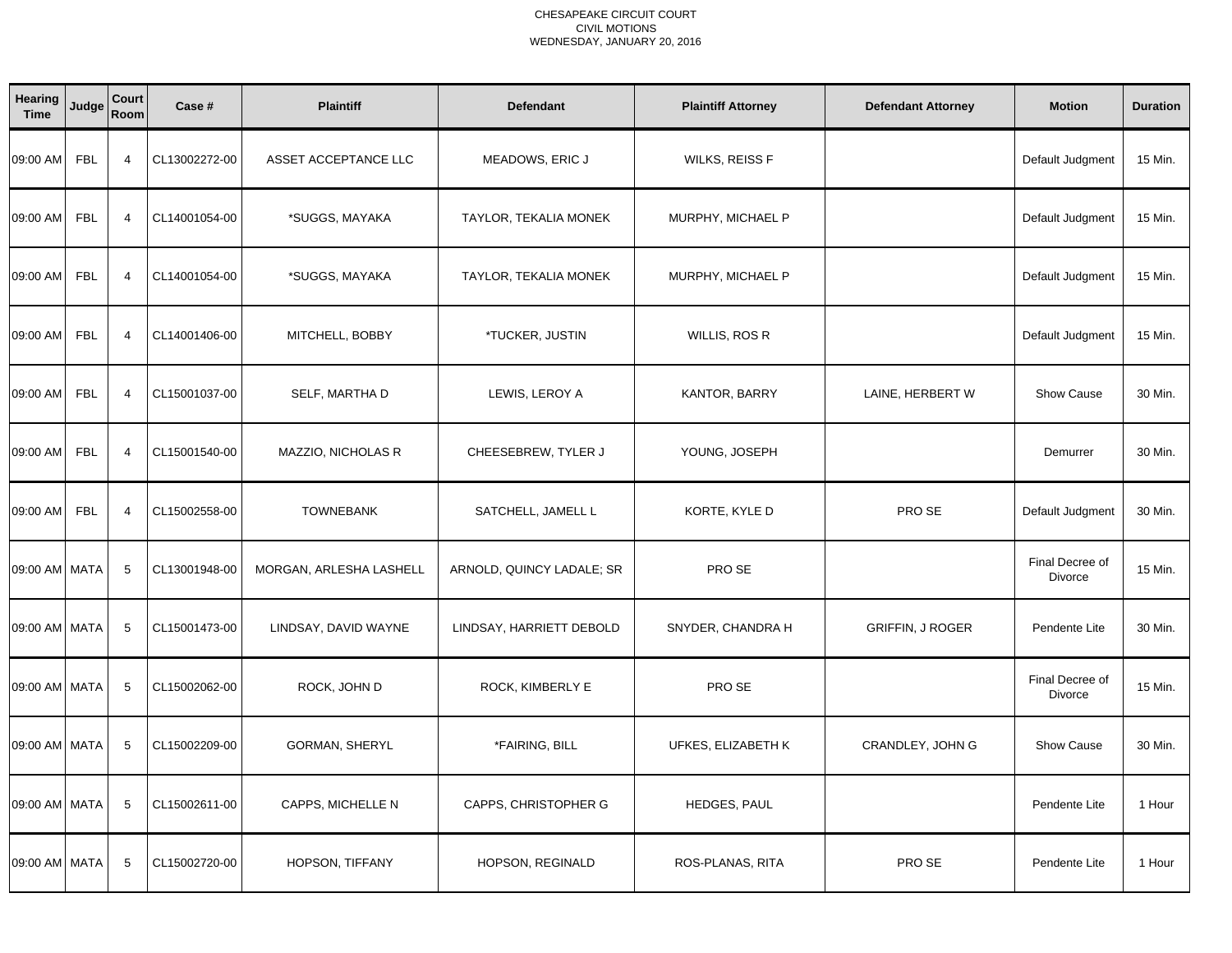| Hearing<br><b>Time</b> | Judge      | Court<br>Room   | Case #        | <b>Plaintiff</b>        | <b>Defendant</b>          | <b>Plaintiff Attorney</b> | <b>Defendant Attorney</b> | <b>Motion</b>                     | <b>Duration</b> |
|------------------------|------------|-----------------|---------------|-------------------------|---------------------------|---------------------------|---------------------------|-----------------------------------|-----------------|
| 09:00 AM               | <b>FBL</b> | $\overline{4}$  | CL13002272-00 | ASSET ACCEPTANCE LLC    | MEADOWS, ERIC J           | WILKS, REISS F            |                           | Default Judgment                  | 15 Min.         |
| 09:00 AM               | <b>FBL</b> | $\overline{4}$  | CL14001054-00 | *SUGGS, MAYAKA          | TAYLOR, TEKALIA MONEK     | MURPHY, MICHAEL P         |                           | Default Judgment                  | 15 Min.         |
| 09:00 AM               | <b>FBL</b> | $\overline{4}$  | CL14001054-00 | *SUGGS, MAYAKA          | TAYLOR, TEKALIA MONEK     | MURPHY, MICHAEL P         |                           | Default Judgment                  | 15 Min.         |
| 09:00 AM               | <b>FBL</b> | $\overline{4}$  | CL14001406-00 | MITCHELL, BOBBY         | *TUCKER, JUSTIN           | WILLIS, ROS R             |                           | Default Judgment                  | 15 Min.         |
| 09:00 AM               | <b>FBL</b> | $\overline{4}$  | CL15001037-00 | SELF, MARTHA D          | LEWIS, LEROY A            | KANTOR, BARRY             | LAINE, HERBERT W          | Show Cause                        | 30 Min.         |
| 09:00 AM               | <b>FBL</b> | $\overline{4}$  | CL15001540-00 | MAZZIO, NICHOLAS R      | CHEESEBREW, TYLER J       | YOUNG, JOSEPH             |                           | Demurrer                          | 30 Min.         |
| 09:00 AM               | <b>FBL</b> | $\overline{4}$  | CL15002558-00 | <b>TOWNEBANK</b>        | SATCHELL, JAMELL L        | KORTE, KYLE D             | PRO SE                    | Default Judgment                  | 30 Min.         |
| 09:00 AM MATA          |            | 5               | CL13001948-00 | MORGAN, ARLESHA LASHELL | ARNOLD, QUINCY LADALE; SR | PRO SE                    |                           | Final Decree of<br>Divorce        | 15 Min.         |
| 09:00 AM MATA          |            | 5               | CL15001473-00 | LINDSAY, DAVID WAYNE    | LINDSAY, HARRIETT DEBOLD  | SNYDER, CHANDRA H         | <b>GRIFFIN, J ROGER</b>   | Pendente Lite                     | 30 Min.         |
| 09:00 AM MATA          |            | 5               | CL15002062-00 | ROCK, JOHN D            | ROCK, KIMBERLY E          | PRO SE                    |                           | Final Decree of<br><b>Divorce</b> | 15 Min.         |
| 09:00 AM MATA          |            | $5\phantom{1}$  | CL15002209-00 | <b>GORMAN, SHERYL</b>   | *FAIRING, BILL            | UFKES, ELIZABETH K        | CRANDLEY, JOHN G          | Show Cause                        | 30 Min.         |
| 09:00 AM MATA          |            | $5\phantom{.0}$ | CL15002611-00 | CAPPS, MICHELLE N       | CAPPS, CHRISTOPHER G      | HEDGES, PAUL              |                           | Pendente Lite                     | 1 Hour          |
| 09:00 AM MATA          |            | 5               | CL15002720-00 | HOPSON, TIFFANY         | HOPSON, REGINALD          | ROS-PLANAS, RITA          | PRO SE                    | Pendente Lite                     | 1 Hour          |